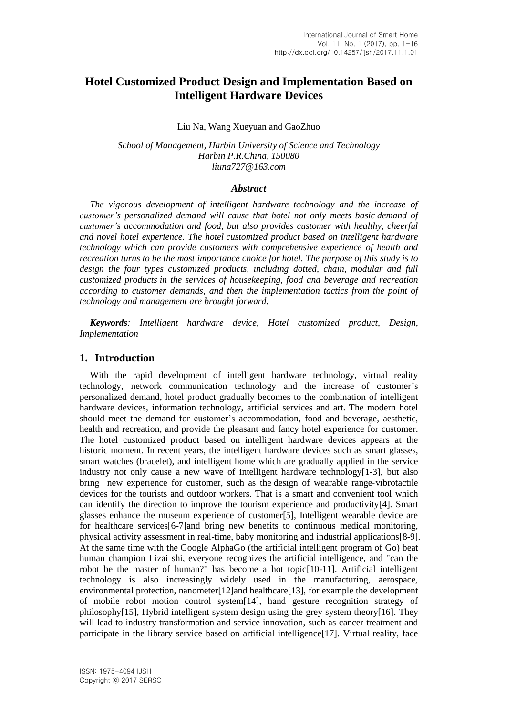# **Hotel Customized Product Design and Implementation Based on Intelligent Hardware Devices**

Liu Na, Wang Xueyuan and GaoZhuo

*School of Management, Harbin University of Science and Technology Harbin P.R.China, 150080 liuna727@163.com*

#### *Abstract*

*The vigorous development of intelligent hardware technology and the increase of customer's personalized demand will cause that hotel not only meets basic demand of customer's accommodation and food, but also provides customer with healthy, cheerful and novel hotel experience. The hotel customized product based on intelligent hardware technology which can provide customers with comprehensive experience of health and recreation turns to be the most importance choice for hotel. The purpose of this study is to design the four types customized products, including dotted, chain, modular and full customized products in the services of [housekeeping,](javascript:void(0);) food and beverage and recreation according to customer demands, and then the implementation tactics from the point of technology and management are brought forward.*

*Keywords: Intelligent hardware device, Hotel customized product, Design, Implementation*

### **1. Introduction**

With the rapid development of intelligent hardware technology, virtual reality technology, network communication technology and the increase of customer's personalized demand, hotel product gradually becomes to the combination of intelligent hardware devices, information technology, artificial services and art. The modern hotel should meet the demand for customer's accommodation, food and beverage, aesthetic, health and recreation, and provide the pleasant and fancy hotel experience for customer. The hotel customized product based on intelligent hardware devices appears at the historic moment. In recent years, the intelligent hardware devices such as smart glasses, smart watches (bracelet), and intelligent home which are gradually applied in the service industry not only cause a new wave of intelligent hardware technology[1-3], but also bring new experience for customer, such as the design of wearable range‐vibrotactile devices for the tourists and outdoor workers. That is a smart and convenient tool which can identify the direction to improve the tourism experience and productivity[4]. Smart glasses enhance the museum experience of customer[5], Intelligent wearable device are for healthcare services[6-7]and bring new benefits to continuous medical monitoring, physical activity assessment in real-time, baby monitoring and industrial applications[8-9]. At the same time with the Google AlphaGo (the artificial intelligent program of Go) beat human champion Lizai shi, everyone recognizes the artificial intelligence, and "can the robot be the master of human?" has become a hot topic[10-11]. Artificial intelligent technology is also increasingly widely used in the manufacturing, aerospace, environmental protection, nanometer[12]and healthcare[13], for example the development of mobile robot motion control system[14], hand gesture recognition strategy of philosophy[15], Hybrid intelligent system design using the grey system theory[16]. They will lead to industry transformation and service innovation, such as cancer treatment and participate in the library service based on artificial intelligence[17]. Virtual reality, face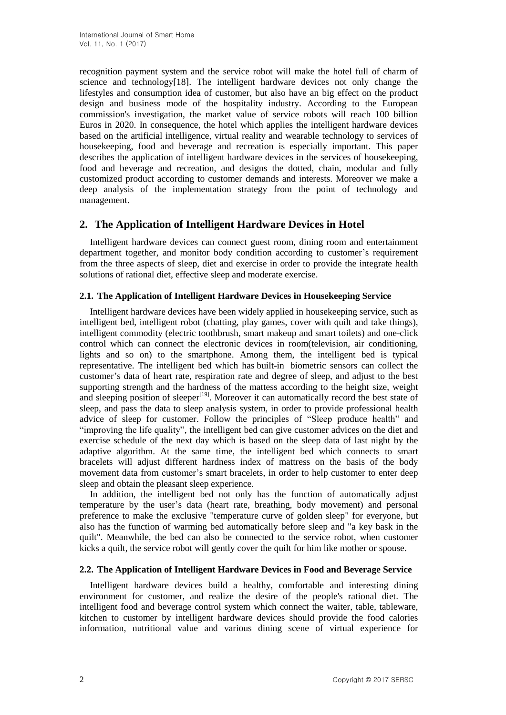recognition payment system and the service robot will make the hotel full of charm of science and technology[18]. The intelligent hardware devices not only change the lifestyles and consumption idea of customer, but also have an big effect on the product design and business mode of the hospitality industry. According to the European commission's investigation, the market value of service robots will reach 100 billion Euros in 2020. In consequence, the hotel which applies the intelligent hardware devices based on the artificial intelligence, virtual reality and wearable technology to [services](javascript:void(0);) of [housekeeping,](javascript:void(0);) food and beverage and recreation is especially important. This paper describes the application of intelligent hardware devices in the services of [housekeeping,](javascript:void(0);) food and beverage and recreation, and designs the dotted, chain, modular and fully customized product according to customer demands and interests. Moreover we make a deep analysis of the implementation strategy from the point of technology and management.

## **2. The Application of Intelligent Hardware Devices in Hotel**

Intelligent hardware devices can connect guest room, dining room and entertainment department together, and monitor body condition according to customer's requirement from the three aspects of sleep, diet and exercise in order to provide the integrate health solutions of [rational](javascript:void(0);) [diet,](javascript:void(0);) effective sleep and moderate exercise.

## **2.1. The Application of Intelligent Hardware Devices in Housekeeping Service**

Intelligent hardware devices have been widely applied in housekeeping service, such as intelligent bed, intelligent robot (chatting, play games, cover with quilt and take things), intelligent commodity (electric toothbrush, smart makeup and smart toilets) and one-click control which can connect the electronic devices in room(television, air conditioning, lights and so on) to the smartphone. Among them, the intelligent bed is typical representative. The intelligent bed which has built-in biometric sensors can collect the customer's data of heart rate, respiration rate and degree of sleep, and adjust to the best supporting strength and the hardness of the mattess according to the height size, weight and sleeping position of sleeper<sup>[19]</sup>. Moreover it can automatically record the best state of sleep, and pass the data to sleep analysis system, in order to provide professional health advice of sleep for customer. Follow the principles of "Sleep produce health" and "improving the life quality", the intelligent bed can give customer advices on the diet and exercise schedule of the next day which is based on the sleep data of last night by the adaptive algorithm. At the same time, the intelligent bed which connects to smart bracelets will adjust different hardness index of mattress on the basis of the body movement data from customer's smart bracelets, in order to help customer to enter deep sleep and obtain the pleasant sleep experience.

In addition, the intelligent bed not only has the function of automatically adjust temperature by the user's data (heart rate, breathing, body movement) and personal preference to make the exclusive "temperature curve of golden sleep" for everyone, but also has the function of warming bed automatically before sleep and "a key bask in the quilt". Meanwhile, the bed can also be connected to the service robot, when customer kicks a quilt, the service robot will gently cover the quilt for him like mother or spouse.

### **2.2. The Application of Intelligent Hardware Devices in Food and Beverage Service**

Intelligent hardware devices build a healthy, comfortable and interesting dining environment for customer, and realize the desire of the people's rational diet. The intelligent food and beverage control system which connect the waiter, table, tableware, kitchen to customer by intelligent hardware devices should provide the food calories information, nutritional value and various dining scene of virtual experience for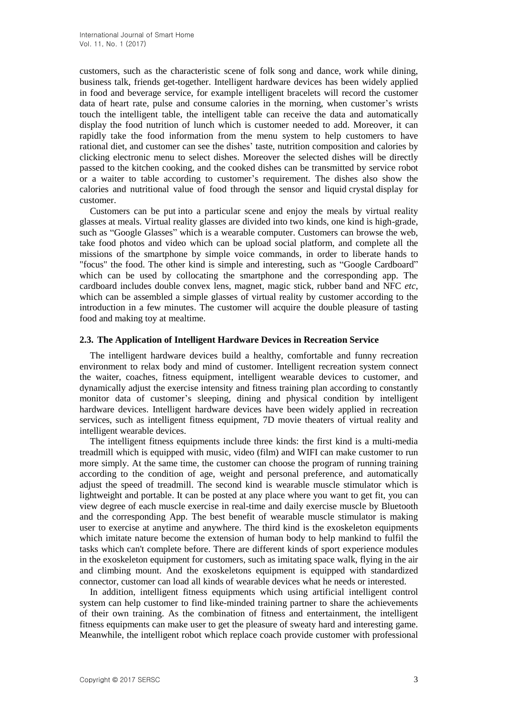customers, such as the characteristic scene of folk song and dance, work while dining, business talk, friends get-together. Intelligent hardware devices has been widely applied in food and beverage service, for example intelligent bracelets will record the customer data of heart rate, pulse and consume calories in the morning, when customer's wrists touch the intelligent table, the intelligent table can receive the data and automatically display the food nutrition of lunch which is customer needed to add. Moreover, it can [rapidl](javascript:void(0);)y take the food information from the menu system to help customers to have rational diet, and customer can see the dishes' taste, nutrition composition and calories by clicking electronic menu to select dishes. Moreover the selected dishes will be directly passed to the kitchen cooking, and the cooked dishes can be transmitted by service robot or a waiter to table according to customer's requirement. The dishes also show the calories and nutritional value of food through the sensor and [liquid](javascript:void(0);) [crystal](javascript:void(0);) [display](javascript:void(0);) for customer.

Customers can be [put](javascript:void(0);) [into](javascript:void(0);) a particular scene and enjoy the meals by virtual reality glasses at meals. Virtual reality glasses are divided into two kinds, one kind is high-grade, such as "Google Glasses" which is a wearable computer. Customers can browse the web, take food photos and video which can be upload social platform, and complete all the missions of the smartphone by simple voice commands, in order to liberate hands to "focus" the food. The other kind is simple and interesting, such as "Google Cardboard" which can be used by collocating the smartphone and the corresponding app. The cardboard includes double convex lens, magnet, magic stick, rubber band and NFC *etc*, which can be assembled a simple glasses of virtual reality by customer according to the introduction in a few minutes. The customer will acquire the double pleasure of tasting food and making toy at mealtime.

#### **2.3. The Application of Intelligent Hardware Devices in Recreation Service**

The intelligent hardware devices build a healthy, comfortable and funny recreation environment to relax body and mind of customer. Intelligent recreation system connect the waiter, coaches, fitness equipment, intelligent wearable devices to customer, and dynamically adjust the exercise intensity and fitness training plan according to constantly monitor data of customer's sleeping, dining and physical condition by intelligent hardware devices. Intelligent hardware devices have been widely applied in recreation services, such as intelligent fitness equipment, 7D movie theaters of virtual reality and intelligent wearable devices.

The intelligent fitness equipments include three kinds: the first kind is a multi-media treadmill which is equipped with music, video (film) and WIFI can make customer to run more simply. At the same time, the customer can choose the program of running training according to the condition of age, weight and personal preference, and automatically adjust the speed of treadmill. The second kind is wearable muscle stimulator which is lightweight and portable. It can be posted at any place where you want to get fit, you can view degree of each muscle exercise in real-time and daily exercise muscle by Bluetooth and the corresponding App. The best benefit of wearable muscle stimulator is making user to exercise at anytime and anywhere. The third kind is the exoskeleton equipments which imitate nature become the extension of human body to help mankind to [fulfil](javascript:void(0);) the tasks which can't complete before. There are different kinds of sport experience modules in the exoskeleton equipment for customers, such as imitating space walk, flying in the air and climbing mount. And the exoskeletons equipment is equipped with standardized connector, customer can load all kinds of wearable devices what he needs or interested.

In addition, intelligent fitness equipments which using artificial intelligent control system can help customer to find like-minded training partner to share the achievements of their own training. As the combination of fitness and entertainment, the intelligent fitness equipments can make user to get the pleasure of sweaty hard and interesting game. Meanwhile, the intelligent robot which replace coach provide customer with professional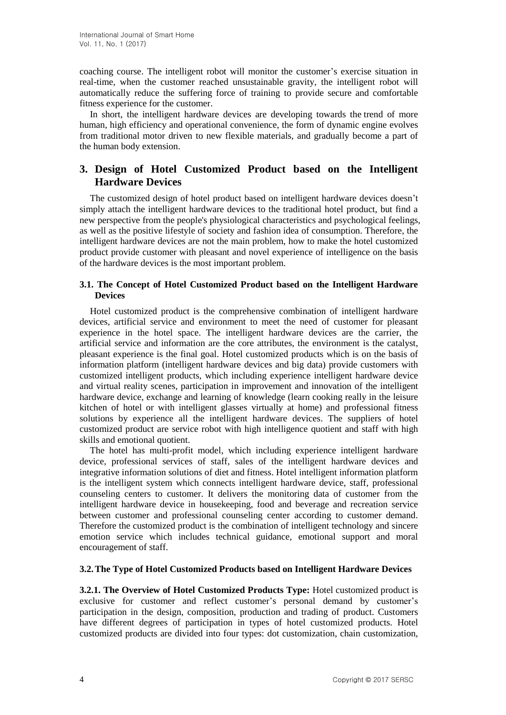coaching course. The intelligent robot will monitor the customer's [exercise](javascript:void(0);) [situation](javascript:void(0);) in real-time, when the customer reached unsustainable gravity, the intelligent robot will automatically reduce the suffering force of training to provide secure and comfortable fitness experience for the customer.

In short, the intelligent hardware devices are developing towards the trend of more human, high efficiency and operational convenience, the form of dynamic engine evolves from traditional motor driven to new flexible materials, and gradually become a part of the human body extension.

# **3. Design of Hotel Customized Product based on the Intelligent Hardware Devices**

The customized design of hotel product based on intelligent hardware devices doesn't simply attach the intelligent hardware devices to the traditional hotel product, but find a new perspective from the people's physiological characteristics and psychological feelings, as well as the positive lifestyle of society and fashion idea of consumption. Therefore, the intelligent hardware devices are not the main problem, how to make the hotel customized product provide customer with pleasant and novel experience of intelligence on the basis of the hardware devices is the most important problem.

## **3.1. The Concept of Hotel Customized Product based on the Intelligent Hardware Devices**

Hotel customized product is the comprehensive combination of intelligent hardware devices, artificial service and environment to meet the need of customer for pleasant experience in the hotel space. The intelligent hardware devices are the carrier, the artificial service and information are the core attributes, the environment is the catalyst, pleasant experience is the final goal. Hotel customized products which is on the basis of information platform (intelligent hardware devices and big data) provide customers with customized intelligent products, which including experience intelligent hardware device and virtual reality scenes, participation in improvement and innovation of the intelligent hardware device, exchange and learning of knowledge (learn cooking [really](javascript:void(0);) in the leisure kitchen of hotel or with intelligent glasses virtually at home) and professional fitness solutions by experience all the intelligent hardware devices. The suppliers of hotel customized product are service robot with high intelligence quotient and staff with high skills and emotional quotient.

The hotel has multi-profit model, which including experience intelligent hardware device, professional services of staff, sales of the intelligent hardware devices and integrative information solutions of diet and fitness. Hotel intelligent information platform is the intelligent system which connects intelligent hardware device, staff, professional counseling centers to customer. It delivers the monitoring data of customer from the intelligent hardware device in housekeeping, food and beverage and recreation service between customer and professional counseling center according to customer demand. Therefore the customized product is the combination of intelligent technology and sincere emotion service which includes technical guidance, emotional support and moral encouragement of staff.

### **3.2.The Type of Hotel Customized Products based on Intelligent Hardware Devices**

**3.2.1. The Overview of Hotel Customized Products Type:** Hotel customized product is exclusive for customer and reflect customer's personal demand by customer's participation in the design, composition, production and trading of product. Customers have different degrees of participation in types of hotel customized products. Hotel customized products are divided into four types: dot customization, chain customization,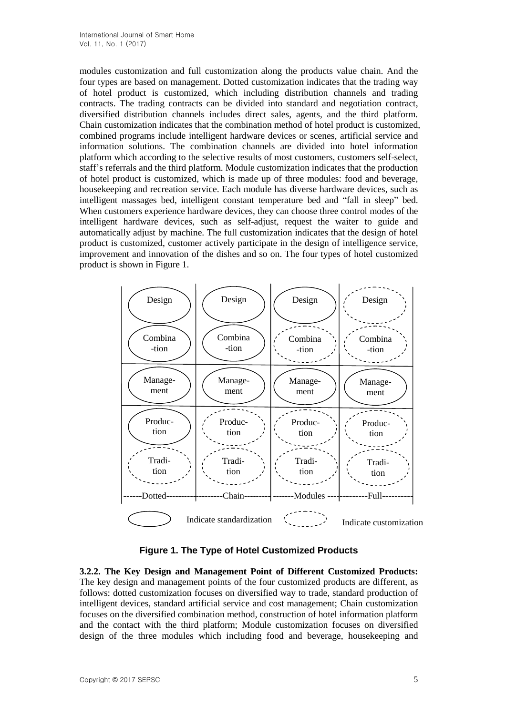modules customization and full customization along the products value chain. And the four types are based on management. Dotted customization indicates that the trading way of hotel product is customized, which including distribution channels and trading contracts. The trading contracts can be divided into standard and negotiation contract, diversified distribution channels includes direct sales, agents, and the third platform. Chain customization indicates that the combination method of hotel product is customized, combined programs include intelligent hardware devices or scenes, artificial service and information solutions. The combination channels are divided into hotel information platform which according to the selective results of most customers, customers self-select, staff's referrals and the third platform. Module customization indicates that the production of hotel product is customized, which is made up of three modules: food and beverage, housekeeping and recreation service. Each module has diverse hardware devices, such as intelligent massages bed, intelligent constant temperature bed and "fall in sleep" bed. When customers experience hardware devices, they can choose three control modes of the intelligent hardware devices, such as self-adjust, request the waiter to guide and automatically adjust by machine. The full customization indicates that the design of hotel product is customized, customer actively participate in the design of intelligence service, improvement and innovation of the dishes and so on. The four types of hotel customized product is shown in Figure 1.



**Figure 1. The Type of Hotel Customized Products**

**3.2.2. The Key Design and Management Point of Different Customized Products:** The key design and management points of the four customized products are different, as follows: dotted customization focuses on diversified way to trade, standard production of intelligent devices, standard artificial service and cost management; Chain customization focuses on the diversified combination method, construction of hotel information platform and the contact with the third platform; Module customization focuses on diversified design of the three modules which including food and beverage, housekeeping and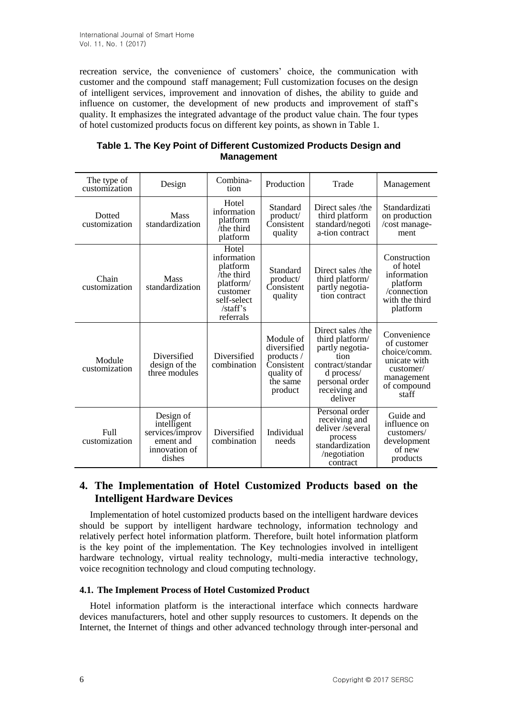recreation service, the convenience of customers' choice, the communication with customer and the compound staff management; Full customization focuses on the design of intelligent services, improvement and innovation of dishes, the ability to guide and influence on customer, the development of new products and improvement of staff's quality. It emphasizes the integrated advantage of the product value chain. The four types of hotel customized products focus on different key points, as shown in Table 1.

| The type of<br>customization   | Design                                                                              | Combina-<br>tion                                                                                                  | Production                                                                                | Trade                                                                                                                                           | Management                                                                                                             |
|--------------------------------|-------------------------------------------------------------------------------------|-------------------------------------------------------------------------------------------------------------------|-------------------------------------------------------------------------------------------|-------------------------------------------------------------------------------------------------------------------------------------------------|------------------------------------------------------------------------------------------------------------------------|
| <b>Dotted</b><br>customization | <b>Mass</b><br>standardization                                                      | Hotel<br>information<br>platform<br>the third<br>platform                                                         | Standard<br>product/<br>Consistent<br>quality                                             | Direct sales /the<br>third platform<br>standard/negoti<br>a-tion contract                                                                       | Standardizati<br>on production<br>/cost manage-<br>ment                                                                |
| Chain<br>customization         | <b>Mass</b><br>standardization                                                      | Hotel<br>information<br>platform<br>the third<br>platform/<br>customer<br>self-select<br>$/$ staff's<br>referrals | Standard<br>product/<br>Consistent<br>quality                                             | Direct sales /the<br>third platform/<br>partly negotia-<br>tion contract                                                                        | Construction<br>of hotel<br>information<br>platform<br>/connection<br>with the third<br>platform                       |
| Module<br>customization        | Diversified<br>design of the<br>three modules                                       | Diversified<br>combination                                                                                        | Module of<br>diversified<br>products /<br>Consistent<br>quality of<br>the same<br>product | Direct sales /the<br>third platform/<br>partly negotia-<br>tion<br>contract/standar<br>d process/<br>personal order<br>receiving and<br>deliver | Convenience<br>of customer<br>choice/comm.<br>unicate with<br>$\text{customer}/$<br>management<br>of compound<br>staff |
| Full<br>customization          | Design of<br>intelligent<br>services/improv<br>ement and<br>innovation of<br>dishes | Diversified<br>combination                                                                                        | Individual<br>needs                                                                       | Personal order<br>receiving and<br>deliver/several<br>process<br>standardization<br>/negotiation<br>contract                                    | Guide and<br>influence on<br>customers/<br>development<br>of new<br>products                                           |

| Table 1. The Key Point of Different Customized Products Design and |
|--------------------------------------------------------------------|
| <b>Management</b>                                                  |

# **4. The Implementation of Hotel Customized Products based on the Intelligent Hardware Devices**

Implementation of hotel customized products based on the intelligent hardware devices should be support by intelligent hardware technology, information technology and relatively perfect hotel information platform. Therefore, built hotel information platform is the key point of the implementation. The Key technologies involved in intelligent hardware technology, virtual reality technology, multi-media interactive technology, voice recognition technology and cloud computing technology.

## **4.1. The Implement Process of Hotel Customized Product**

Hotel information platform is the interactional interface which connects hardware devices manufacturers, hotel and other supply resources to customers. It depends on the Internet, the Internet of things and other advanced technology through inter-personal and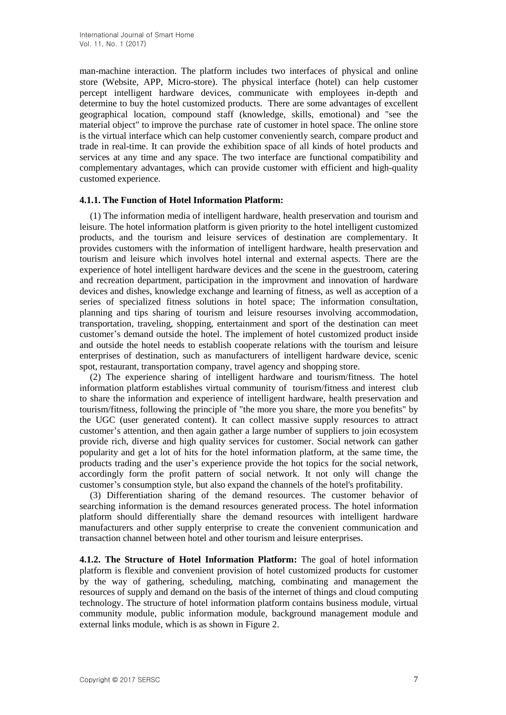man-machine interaction. The platform includes two interfaces of physical and online store (Website, APP, Micro-store). The physical interface (hotel) can help customer percept intelligent hardware devices, communicate with employees in-depth and determine to buy the hotel customized products. There are some advantages of excellent geographical location, compound staff (knowledge, skills, emotional) and "see the material object" to improve the purchase rate of customer in hotel space. The online store is the virtual interface which can help customer conveniently search, compare product and trade in real-time. It can provide the exhibition space of all kinds of hotel products and services at any time and any space. The two interface are functional compatibility and complementary advantages, which can provide customer with efficient and high-quality customed experience.

#### **4.1.1. The Function of Hotel Information Platform:**

(1) The information media of intelligent hardware, health preservation and tourism and leisure. The hotel information platform is given priority to the hotel intelligent customized products, and the tourism and leisure services of destination are complementary. It provides customers with the information of intelligent hardware, health preservation and tourism and leisure which involves hotel internal and external aspects. There are the experience of hotel intelligent hardware devices and the scene in the guestroom, catering and recreation department, participation in the improvment and innovation of hardware devices and dishes, knowledge exchange and learning of fitness, as well as acception of a series of specialized fitness solutions in hotel space; The information consultation, planning and tips sharing of tourism and leisure resourses involving accommodation, transportation, traveling, shopping, entertainment and sport of the destination can meet customer's demand outside the hotel. The implement of hotel customized product inside and outside the hotel needs to establish cooperate relations with the tourism and leisure enterprises of destination, such as manufacturers of intelligent hardware device, scenic spot, restaurant, transportation company, travel agency and shopping store.

(2) The experience sharing of intelligent hardware and tourism/fitness. The hotel information platform establishes virtual community of tourism/fitness and interest club to share the information and experience of intelligent hardware, health preservation and tourism/fitness, following the principle of "the more you share, the more you benefits" by the UGC (user generated content). It can collect massive supply resources to attract customer's attention, and then again gather a large number of suppliers to join ecosystem provide rich, diverse and high quality services for customer. Social network can gather popularity and get a lot of hits for the hotel information platform, at the same time, the products trading and the user's experience provide the hot topics for the social network, accordingly form the profit pattern of social network. It not only will change the customer's consumption style, but also expand the channels of the hotel's profitability.

(3) Differentiation sharing of the demand resources. The customer behavior of searching information is the demand resources generated process. The hotel information platform should [differentially](javascript:void(0);) share the demand resources with intelligent hardware manufacturers and other supply enterprise to create the convenient communication and transaction channel between hotel and other tourism and leisure enterprises.

**4.1.2. The Structure of Hotel Information Platform:** The goal of hotel information platform is flexible and convenient provision of hotel customized products for customer by the way of gathering, scheduling, matching, combinating and management the resources of supply and demand on the basis of the internet of things and cloud computing technology. The structure of hotel information platform contains business module, virtual community module, public information module, background management module and external links module, which is as shown in Figure 2.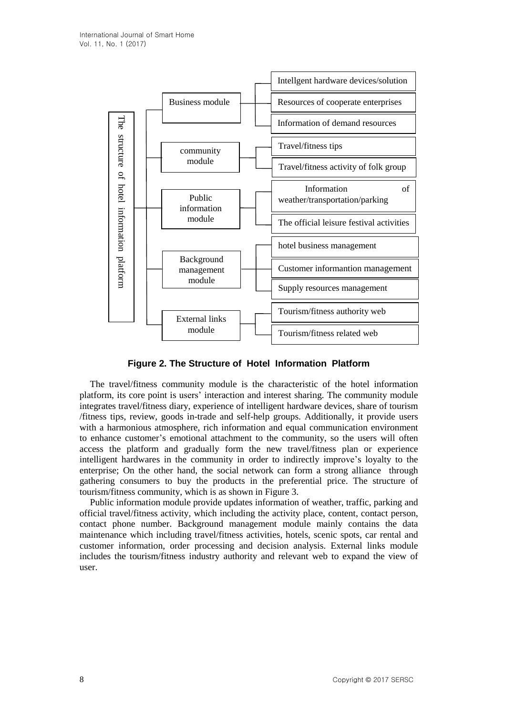

**Figure 2. The Structure of Hotel Information Platform**

The travel/fitness community module is the characteristic of the hotel information platform, its core point is users' interaction and interest sharing. The community module integrates travel/fitness diary, experience of intelligent hardware devices, share of tourism /fitness tips, review, goods in-trade and self-help groups. Additionally, it provide users with a harmonious atmosphere, rich information and equal communication environment to enhance customer's emotional attachment to the community, so the users will often access the platform and gradually form the new travel/fitness plan or experience intelligent hardwares in the community in order to indirectly improve's loyalty to the enterprise; On the other hand, the social network can form a strong alliance through gathering consumers to buy the products in the preferential price. The structure of tourism/fitness community, which is as shown in Figure 3.

Public information module provide updates information of weather, traffic, parking and official travel/fitness activity, which including the activity place, content, contact person, contact phone number. Background management module mainly contains the data maintenance which including travel/fitness activities, hotels, scenic spots, car rental and customer information, order processing and decision analysis. External links module includes the tourism/fitness industry authority and relevant web to expand the view of user.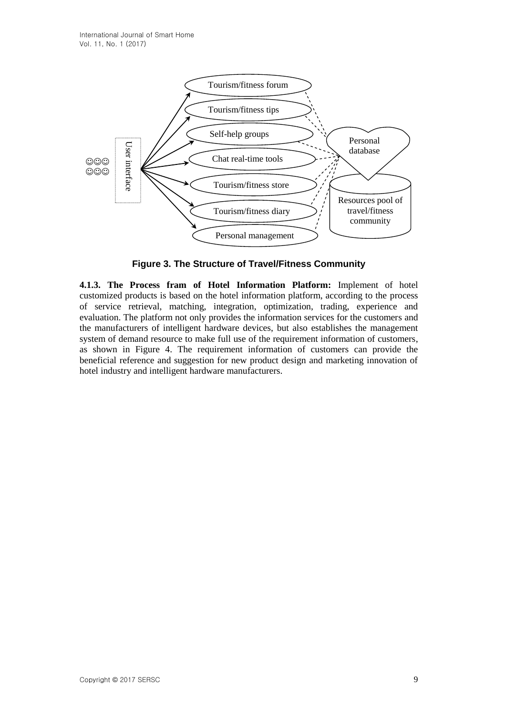

**Figure 3. The Structure of Travel/Fitness Community**

**4.1.3. The Process fram of Hotel Information Platform:** Implement of hotel customized products is based on the hotel information platform, according to the process of service retrieval, matching, integration, optimization, trading, experience and evaluation. The platform not only provides the information services for the customers and the manufacturers of intelligent hardware devices, but also establishes the management system of demand resource to make full use of the requirement information of customers, as shown in Figure 4. The requirement information of customers can provide the beneficial reference and suggestion for new product design and marketing innovation of hotel industry and intelligent hardware manufacturers.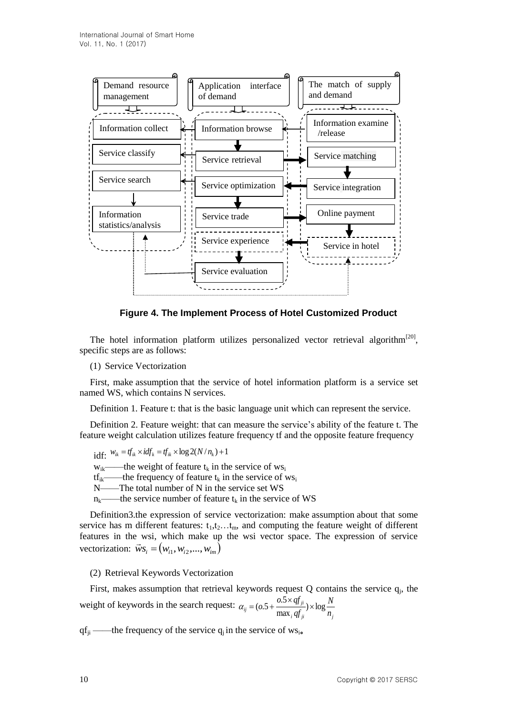

**Figure 4. The Implement Process of Hotel Customized Product**

The hotel information platform utilizes personalized vector retrieval algorithm<sup>[20]</sup>, specific steps are as follows:

(1) Service Vectorization

First, make assumption that the service of hotel information platform is a service set named WS, which contains N services.

Definition 1. Feature t: that is the basic language unit which can represent the service.

Definition 2. Feature weight: that can [measure](javascript:void(0);) the service's ability of the feature t. The feature weight calculation utilizes feature frequency tf and the [opposite](javascript:void(0);) feature frequency

idf:  $W_{ik} = tf_{ik} \times idf_k = tf_{ik} \times \log 2(N/n_k) + 1$ 

 $w_{ik}$ ——the weight of feature  $t_k$  in the service of ws<sub>i</sub>

 $tf_{ik}$ ——the frequency of feature  $t_k$  in the service of ws<sub>i</sub>

N——The total number of N in the service set WS

 $n_k$ ——the service number of feature  $t_k$  in the service of WS

Definition3.the expression of service vectorization: make assumption about that some service has m different features:  $t_1, t_2, \ldots, t_m$ , and computing the feature weight of different features in the wsi, which make up the wsi vector space. The expression of service vectorization:  $\vec{w}s_i = (w_{i1}, w_{i2},..., w_{im})$ 

### (2) Retrieval Keywords Vectorization

First, makes assumption that retrieval keywords request  $Q$  contains the service  $q_i$ , the weight of keywords in the search request:  $i \mathcal{Y}$  *ji*  $\qquad \qquad$  *i j*  $f_{ij} = (o.5 + \frac{0.5 \times qj_{ji}}{\max_i qf_{ij}}) \times \log \frac{N}{n}$ *N qf*  $\frac{0.5 \times qf_{ji}}{2} \times \log$ max  $\alpha_{ii} = (\omega.5 + \frac{\omega.5 \times qf_{ii}}{q}) \times$ 

 $q f_{ii}$  ——the frequency of the service  $q_i$  in the service of ws<sub>i</sub>.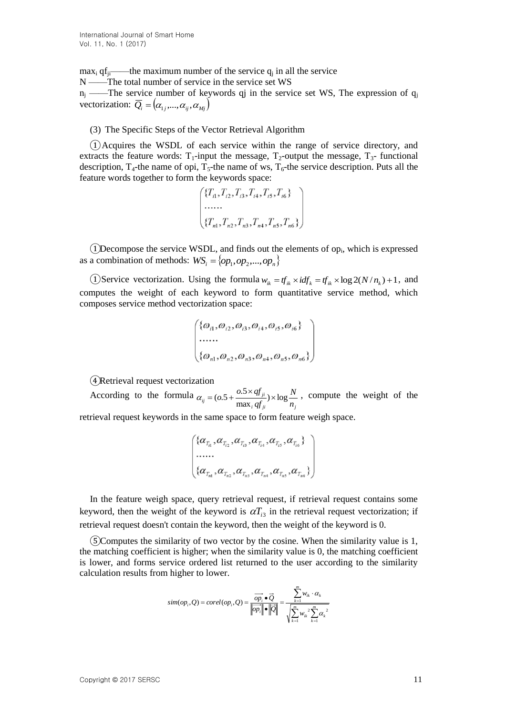$\max_i \text{qf}_{ji}$  ——the maximum number of the service  $q_i$  in all the service N ——The total number of service in the service set WS  $n_j$  ——The service number of keywords qj in the service set WS, The expression of  $q_j$ vectorization:  $\overline{Q}_i = (\alpha_{1j}, ..., \alpha_{ij}, \alpha_{Mj})$ 

## (3) The Specific Steps of the Vector Retrieval Algorithm

 $(1)$ Acquires the WSDL of each service within the range of service directory, and extracts the feature words:  $T_1$ -input the message,  $T_2$ -output the message,  $T_3$ - functional description,  $T_4$ -the name of opi,  $T_5$ -the name of ws,  $T_6$ -the service description. Puts all the feature words together to form the keywords space:

$$
\begin{pmatrix} \{T_{i1}, T_{i2}, T_{i3}, T_{i4}, T_{i5}, T_{i6}\} \\ \dots \\ \dots \\ \{T_{n1}, T_{n2}, T_{n3}, T_{n4}, T_{n5}, T_{n6}\} \end{pmatrix}
$$

 $(1)$ Decompose the service WSDL, and finds out the elements of op<sub>i</sub>, which is expressed as a combination of methods:  $WS_i = \{op_1, op_2, ..., op_n\}$ 

(1) Service vectorization. Using the formula  $w_{ik} = tf_{ik} \times idf_k = tf_{ik} \times \log 2(N/n_k) + 1$ , and computes the weight of each keyword to form quantitative service method, which composes service method vectorization space:

$$
\begin{pmatrix} \{\omega_{i1}, \omega_{i2}, \omega_{i3}, \omega_{i4}, \omega_{i5}, \omega_{i6}\} \\ \dots \\ \{\omega_{n1}, \omega_{n2}, \omega_{n3}, \omega_{n4}, \omega_{n5}, \omega_{n6}\} \end{pmatrix}
$$

④Retrieval request vectorization

According to the formula *i*  $\boldsymbol{y}_j$ *i*  $\boldsymbol{y}_j$  $f_{ij} = (0.5 + \frac{0.3 \times q_{jji}}{\max_i q f_{ij}}) \times \log \frac{N}{n}$ *N qf*  $o.5 + \frac{o.5 \times qf_{ji}}{\max_i qf_{ji}}$   $\times$  log  $\alpha_{ii} = (0.5 + \frac{0.5 \times qf_{ii}}{q}) \times \log \frac{N}{q}$ , compute the weight of the

retrieval request keywords in the same space to form feature weigh space.

$$
\begin{pmatrix} \{\alpha_{_{T_{i1}}},\alpha_{_{T_{i2}}},\alpha_{_{T_{i3}}},\alpha_{_{T_{i4}}},\alpha_{_{T_{i5}}},\alpha_{_{T_{i6}}}\} \\ ... \\ \{\alpha_{_{T_{n1}}},\alpha_{_{T_{n2}}},\alpha_{_{T_{n3}}},\alpha_{_{T_{n4}}},\alpha_{_{T_{n5}}},\alpha_{_{T_{n6}}}\} \end{pmatrix}
$$

In the feature weigh space, query retrieval request, if retrieval request contains some keyword, then the weight of the keyword is  $\alpha T_{i3}$  in the retrieval request vectorization; if retrieval request doesn't contain the keyword, then the weight of the keyword is 0.

⑤Computes the similarity of two vector by the cosine. When the similarity value is 1, the matching coefficient is higher; when the similarity value is 0, the matching coefficient is lower, and forms service ordered list returned to the user according to the similarity calculation results from higher to lower.

$$
sim(op_i,Q) = corel(op_i,Q) = \frac{\overrightarrow{op_i} \bullet \overrightarrow{Q}}{\left\| \overrightarrow{op_i} \right\| \bullet \left\| \overrightarrow{Q} \right\|} = \frac{\sum_{k=1}^{m} w_{ik} \cdot \alpha_k}{\sqrt{\sum_{k=1}^{m} w_{ik}^2 \sum_{k=1}^{m} \alpha_k^2}}
$$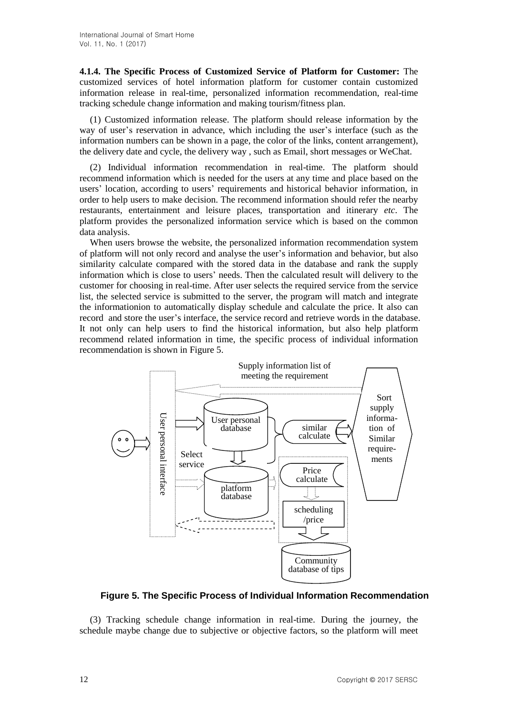**4.1.4. The Specific Process of Customized Service of Platform for Customer:** The customized services of hotel information platform for customer contain customized information release in real-time, personalized information recommendation, real-time tracking schedule change information and making tourism/fitness plan.

(1) Customized information release. The platform should release information by the way of user's reservation in advance, which including the user's interface (such as the information numbers can be shown in a page, the color of the links, content arrangement), the delivery date and cycle, the delivery way , such as Email, short messages or WeChat.

(2) Individual information recommendation in real-time. The platform should recommend information which is needed for the users at any time and place based on the users' location, according to users' requirements and historical behavior information, in order to help users to make decision. The recommend information should refer the nearby restaurants, entertainment and leisure places, transportation and itinerary *etc*. The platform provides the personalized information service which is based on the common data analysis.

When users browse the website, the personalized information recommendation system of platform will not only record and analyse the user's information and behavior, but also similarity calculate compared with the stored data in the database and rank the supply information which is close to users' needs. Then the calculated result will delivery to the customer for choosing in real-time. After user selects the required service from the service list, the selected service is submitted to the server, the program will match and integrate the informationion to automatically display schedule and calculate the price. It also can record and store the user's interface, the service record and retrieve words in the database. It not only can help users to find the historical information, but also help platform recommend related information in time, the specific process of individual information recommendation is shown in Figure 5.



**Figure 5. The Specific Process of Individual Information Recommendation**

(3) Tracking schedule change information in real-time. During the journey, the schedule maybe change due to subjective or objective factors, so the platform will meet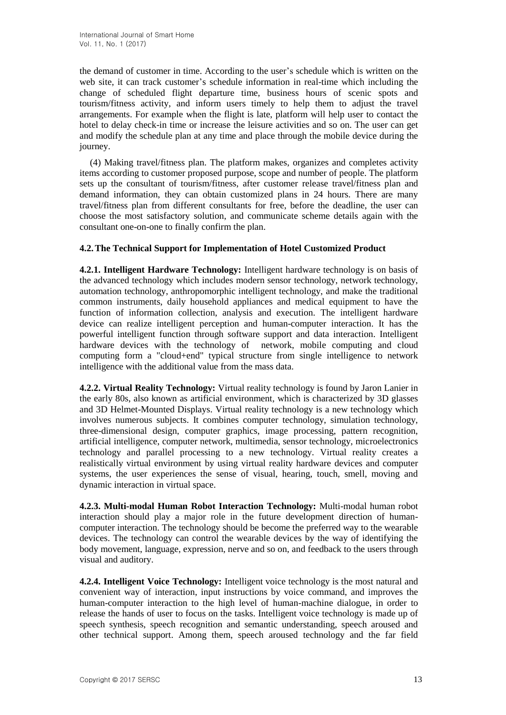the demand of customer in time. According to the user's schedule which is written on the web site, it can track customer's schedule information in real-time which including the change of scheduled flight departure time, business hours of scenic spots and tourism/fitness activity, and inform users timely to help them to adjust the travel arrangements. For example when the flight is late, platform will help user to contact the hotel to delay check-in time or increase the leisure activities and so on. The user can get and modify the schedule plan at any time and place through the mobile device during the journey.

(4) Making travel/fitness plan. The platform makes, organizes and completes activity items according to customer proposed purpose, scope and number of people. The platform sets up the consultant of tourism/fitness, after customer release travel/fitness plan and demand information, they can obtain customized plans in 24 hours. There are many travel/fitness plan from different consultants for free, before the deadline, the user can choose the most satisfactory solution, and communicate scheme details again with the consultant one-on-one to finally confirm the plan.

## **4.2.The Technical Support for Implementation of Hotel Customized Product**

**4.2.1. Intelligent Hardware Technology:** Intelligent hardware technology is on basis of the advanced technology which includes modern sensor technology, network technology, automation technology, anthropomorphic intelligent technology, and make the traditional common instruments, daily household appliances and medical equipment to have the function of information collection, analysis and execution. The intelligent hardware device can realize intelligent perception and human-computer interaction. It has the powerful intelligent function through software support and data interaction. Intelligent hardware devices with the technology of network, mobile computing and cloud computing form a "cloud+end" typical structure from single intelligence to network intelligence with the additional value from the mass data.

**4.2.2. Virtual Reality Technology:** Virtual reality technology is found by Jaron Lanier in the early 80s, also known as artificial environment, which is characterized by 3D glasses and 3D Helmet-Mounted Displays. Virtual reality technology is a new technology which involves numerous subjects. It combines computer technology, simulation technology, three-dimensional design, computer graphics, image processing, pattern recognition, artificial intelligence, computer network, multimedia, sensor technology, microelectronics technology and parallel processing to a new technology. Virtual reality creates a realistically virtual environment by using virtual reality hardware devices and computer systems, the user experiences the sense of visual, hearing, touch, smell, moving and dynamic interaction in virtual space.

**4.2.3. Multi-modal Human Robot Interaction Technology:** Multi-modal human robot interaction should play a major role in the future development direction of humancomputer interaction. The technology should be become the preferred way to the wearable devices. The technology can control the wearable devices by the way of identifying the body movement, language, expression, nerve and so on, and feedback to the users through visual and auditory.

**4.2.4. Intelligent Voice Technology:** Intelligent voice technology is the most natural and convenient way of interaction, input instructions by voice command, and improves the human-computer interaction to the high level of human-machine dialogue, in order to release the hands of user to focus on the tasks. Intelligent voice technology is made up of speech synthesis, speech recognition and semantic understanding, speech aroused and other technical support. Among them, speech aroused technology and the far field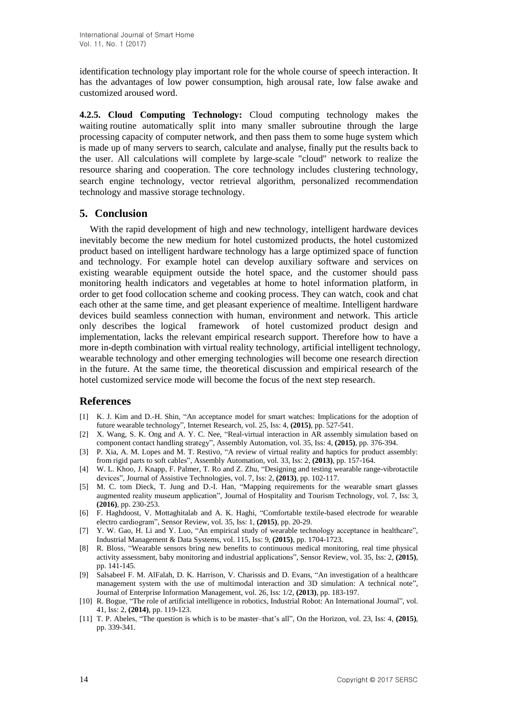identification technology play important role for the whole course of speech interaction. It has the advantages of low power consumption, high arousal rate, low false awake and customized aroused word.

**4.2.5. Cloud Computing Technology:** Cloud computing technology makes the waiting routine automatically split into many smaller subroutine through the large processing capacity of computer network, and then pass them to some huge system which is made up of many servers to search, calculate and analyse, finally put the results back to the user. All calculations will complete by large-scale "cloud" network to realize the resource sharing and cooperation. The core technology includes clustering technology, search engine technology, vector retrieval algorithm, personalized recommendation technology and massive storage technology.

## **5. Conclusion**

With the rapid development of high and new technology, intelligent hardware devices inevitably become the new medium for hotel customized products, the hotel customized product based on intelligent hardware technology has a large optimized space of function and technology. For example hotel can develop auxiliary software and services on existing wearable equipment outside the hotel space, and the customer should pass monitoring health indicators and vegetables at home to hotel information platform, in order to get food collocation scheme and cooking process. They can watch, cook and chat each other at the same time, and get pleasant experience of mealtime. Intelligent hardware devices build seamless connection with human, environment and network. This article only describes the logical framework of hotel customized product design and implementation, lacks the relevant empirical research support. Therefore how to have a more in-depth combination with virtual reality technology, artificial intelligent technology, wearable technology and other emerging technologies will become one research direction in the future. At the same time, the theoretical discussion and empirical research of the hotel customized service mode will become the focus of the next step research.

## **References**

- [1] [K. J. Kim](http://www.emeraldinsight.com/author/Kim%2C+Ki+Joon) and [D.-H.](http://www.emeraldinsight.com/author/Shin%2C+Dong-Hee) Shin, "An acceptance model for smart watches: Implications for the adoption of future wearable technology‖, Internet Research, vol. 25, Iss: 4, **(2015)**, pp. 527-541.
- [2] [X. Wang,](http://www.emeraldinsight.com/author/Wang%2C+X) S. [K. Ong](http://www.emeraldinsight.com/author/Ong%2C+SK) and A. Y. [C. Nee,](http://www.emeraldinsight.com/author/Nee%2C+AYC) "Real-virtual interaction in AR assembly simulation based on component contact handling strategy", Assembly Automation, vol. 35, Iss: 4, (2015), pp. 376-394.
- [3] [P. Xia,](http://www.emeraldinsight.com/author/Xia%2C+Pingjun) [A. M. Lopes](http://www.emeraldinsight.com/author/Mendes+Lopes%2C+Ant%C3%B3nio) and [M. T. Restivo,](http://www.emeraldinsight.com/author/Restivo%2C+Maria+Teresa) "A review of virtual reality and haptics for product assembly: from rigid parts to soft cables‖, Assembly Automation, vol. 33, Iss: 2, **(2013)**, pp. 157-164.
- [4] W. L. [Khoo,](http://www.emeraldinsight.com/author/Lun+Khoo%2C+Wai) [J. Knapp,](http://www.emeraldinsight.com/author/Knapp%2C+Joey) [F. Palmer,](http://www.emeraldinsight.com/author/Palmer%2C+Franklin) [T. Ro](http://www.emeraldinsight.com/author/Ro%2C+Tony) and [Z. Zhu,](http://www.emeraldinsight.com/author/Zhu%2C+Zhigang) "Designing and testing wearable range-vibrotactile devices‖, Journal of Assistive Technologies, vol. 7, Iss: 2, **(2013)**, pp. 102-117.
- [5] [M. C. tom Dieck,](http://www.emeraldinsight.com/author/Tom+Dieck%2C+M+Claudia) [T. Jung](http://www.emeraldinsight.com/author/Jung%2C+Timothy) and [D.-I. Han,](http://www.emeraldinsight.com/author/Han%2C+Dai-In) "Mapping requirements for the wearable smart glasses augmented reality museum application", Journal of Hospitality and Tourism Technology, vol. 7, Iss: 3, **(2016)**, pp. 230-253.
- [6] [F. Haghdoost,](http://www.emeraldinsight.com/author/Haghdoost%2C+Fatemeh) [V. Mottaghitalab](http://www.emeraldinsight.com/author/Mottaghitalab%2C+Vahid) and [A. K. Haghi,](http://www.emeraldinsight.com/author/Haghi%2C+Akbar+Khodaparast) "Comfortable textile-based electrode for wearable electro cardiogram", Sensor Review, vol. 35, Iss: 1, (2015), pp. 20-29.
- [7] [Y. W.](http://www.emeraldinsight.com/author/Gao%2C+Yiwen) Gao, [H. Li](http://www.emeraldinsight.com/author/Li%2C+He) and [Y. Luo,](http://www.emeraldinsight.com/author/Luo%2C+Yan) "An empirical study of wearable technology acceptance in healthcare", Industrial Management & Data Systems, vol. 115, Iss: 9, **(2015)**, pp. 1704-1723.
- [8] [R. Bloss,](http://www.emeraldinsight.com/author/Bloss%2C+Richard) "Wearable sensors bring new benefits to continuous medical monitoring, real time physical activity assessment, baby monitoring and industrial applications‖, Sensor Review, vol. 35, Iss: 2, **(2015)**, pp. 141-145.
- [9] Salsabeel F. M. AlFalah, D. K. Harrison, V. Charissis and D. Evans, "An investigation of a healthcare management system with the use of multimodal interaction and 3D simulation: A technical note", Journal of Enterprise Information Management, vol. 26, Iss: [1/2,](http://www.emeraldinsight.com/toc/jeim/26/1%2F2) **(2013)**, pp. 183-197.
- [10] R. Bogue, "The role of artificial intelligence in robotics, [Industrial Robot: An International](http://www.emeraldinsight.com/loi/ir) Journal", vol. 41, [Iss:](http://www.emeraldinsight.com/toc/ir/41/2) 2, **(2014)**, pp. 119-123.
- [11] [T. P. Abeles,](http://www.emeraldinsight.com/author/Abeles%2C+Tom+P) "The question is which is to be master–that's all", On the Horizon, vol. 23, Iss: 4, (2015), pp. 339-341.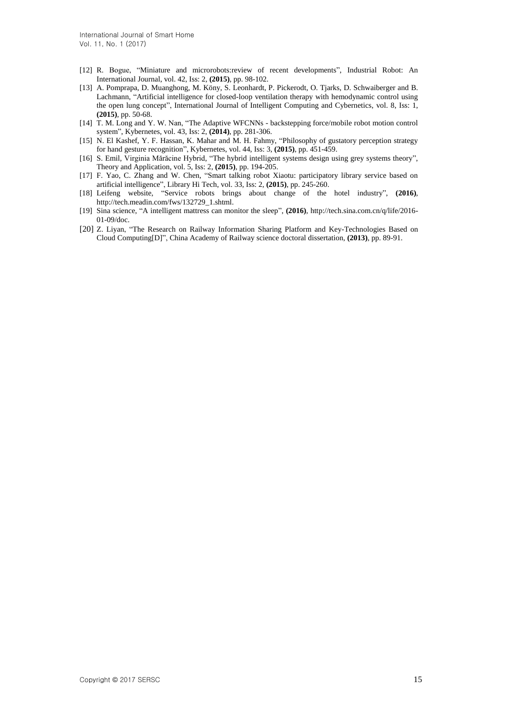- [12] R. Bogue, "Miniature and microrobots:review of recent developments", [Industrial Robot:](http://www.emeraldinsight.com/loi/ir) An [International Journal,](http://www.emeraldinsight.com/loi/ir) vol. 42, [Iss:](http://www.emeraldinsight.com/toc/ir/42/2) 2, **(2015)**, pp. 98-102.
- [13] A. Pomprapa, D. Muanghong, M. Köny, S. Leonhardt, P. Pickerodt, O. Tjarks, D. Schwaiberger and B. Lachmann, "Artificial intelligence for closed-loop ventilation therapy with hemodynamic control using the open lung concept", [International Journal of Intelligent Computing and Cybernetics,](http://www.emeraldinsight.com/loi/ijicc) vol. 8, [Iss:](http://www.emeraldinsight.com/toc/ijicc/8/1) 1, **(2015)**, pp. 50-68.
- [14] T. M. Long and Y. W. Nan, "The Adaptive WFCNNs backstepping force/mobile robot motion control system‖, [Kybernetes,](http://www.emeraldinsight.com/loi/k) vol. 43, [Iss:](http://www.emeraldinsight.com/toc/k/43/2) 2, **(2014)**, pp. 281-306.
- [15] N. El Kashef, Y. F. Hassan, K. Mahar and M. H. Fahmy, "Philosophy of gustatory perception strategy [for hand gesture recognition‖](http://www.emeraldinsight.com/doi/full/10.1108/K-03-2014-0047), [Kybernetes,](http://www.emeraldinsight.com/loi/k) vol. 44, [Iss:](http://www.emeraldinsight.com/toc/k/44/3) 3, **(2015)**, pp. 451-459.
- [16] S. Emil, Virginia Mărăcine Hybrid, "The hybrid intelligent systems design using grey systems theory", [Theory and Application,](http://www.emeraldinsight.com/loi/gs) vol. 5, [Iss:](http://www.emeraldinsight.com/toc/gs/5/2) 2, **(2015)**, pp. 194-205.
- [17] F. Yao, C. Zhang and W. Chen, "Smart talking robot Xiaotu: participatory library service based on [artificial intelligence‖](http://www.emeraldinsight.com/doi/full/10.1108/LHT-02-2015-0010), [Library Hi Tech,](http://www.emeraldinsight.com/loi/lht) vol. 33, [Iss:](http://www.emeraldinsight.com/toc/lht/33/2) 2, **(2015)**, pp. 245-260.
- [18] Leifeng website, "Service robots brings about change of the hotel industry", (2016), [http://tech.meadin.com/fws/132729\\_1.shtml.](http://tech.meadin.com/fws/132729_1.shtml)
- [19] Sina science, "A intelligent mattress can monitor the sleep", (2016), [http://tech.sina.com.cn/q/life/2016-](http://tech.sina.com.cn/q/life/2016-01-09/doc) [01-09/doc.](http://tech.sina.com.cn/q/life/2016-01-09/doc)
- [20] Z. Liyan, "The Research on Railway Information Sharing Platform and Key-Technologies Based on Cloud Computing[D]‖, China Academy of Railway science doctoral dissertation, **(2013)**, pp. 89-91.